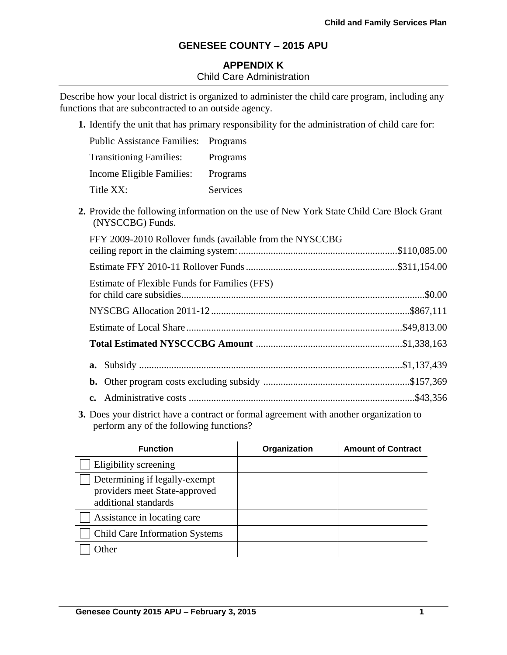# **APPENDIX K** Child Care Administration

Describe how your local district is organized to administer the child care program, including any functions that are subcontracted to an outside agency.

**1.** Identify the unit that has primary responsibility for the administration of child care for:

| <b>Public Assistance Families: Programs</b> |          |
|---------------------------------------------|----------|
| <b>Transitioning Families:</b>              | Programs |
| Income Eligible Families:                   | Programs |
| Title XX:                                   | Services |

**2.** Provide the following information on the use of New York State Child Care Block Grant (NYSCCBG) Funds.

| FFY 2009-2010 Rollover funds (available from the NYSCCBG |  |
|----------------------------------------------------------|--|
|                                                          |  |
| Estimate of Flexible Funds for Families (FFS)            |  |
|                                                          |  |
|                                                          |  |
|                                                          |  |
|                                                          |  |
|                                                          |  |
|                                                          |  |

**3.** Does your district have a contract or formal agreement with another organization to perform any of the following functions?

| <b>Function</b>                                                                        | Organization | <b>Amount of Contract</b> |
|----------------------------------------------------------------------------------------|--------------|---------------------------|
| Eligibility screening                                                                  |              |                           |
| Determining if legally-exempt<br>providers meet State-approved<br>additional standards |              |                           |
| Assistance in locating care                                                            |              |                           |
| <b>Child Care Information Systems</b>                                                  |              |                           |
| $Q$ ther                                                                               |              |                           |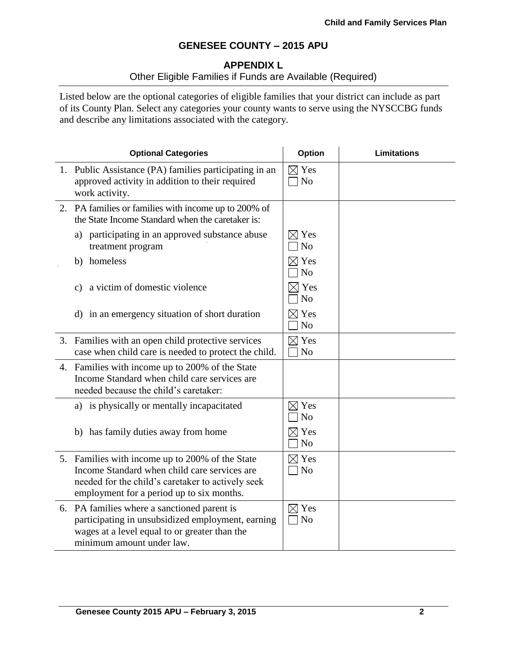## **APPENDIX L**

# Other Eligible Families if Funds are Available (Required)

Listed below are the optional categories of eligible families that your district can include as part of its County Plan. Select any categories your county wants to serve using the NYSCCBG funds and describe any limitations associated with the category.

| <b>Optional Categories</b>                                                                                                                                                                        |                                   | <b>Limitations</b> |
|---------------------------------------------------------------------------------------------------------------------------------------------------------------------------------------------------|-----------------------------------|--------------------|
| 1. Public Assistance (PA) families participating in an<br>approved activity in addition to their required<br>work activity.                                                                       | $\boxtimes$ Yes<br>N <sub>o</sub> |                    |
| 2. PA families or families with income up to 200% of<br>the State Income Standard when the caretaker is:                                                                                          |                                   |                    |
| a) participating in an approved substance abuse<br>treatment program                                                                                                                              | $\boxtimes$ Yes<br>N <sub>o</sub> |                    |
| b) homeless                                                                                                                                                                                       | $\boxtimes$ Yes<br>N <sub>o</sub> |                    |
| a victim of domestic violence<br>c)                                                                                                                                                               | $\times$ Yes<br>N <sub>o</sub>    |                    |
| d) in an emergency situation of short duration                                                                                                                                                    | $\boxtimes$ Yes<br>N <sub>o</sub> |                    |
| 3. Families with an open child protective services<br>case when child care is needed to protect the child.                                                                                        | $\boxtimes$ Yes<br>N <sub>o</sub> |                    |
| 4. Families with income up to 200% of the State<br>Income Standard when child care services are<br>needed because the child's caretaker:                                                          |                                   |                    |
| a) is physically or mentally incapacitated                                                                                                                                                        | $\boxtimes$ Yes<br>N <sub>o</sub> |                    |
| b) has family duties away from home                                                                                                                                                               | $\boxtimes$ Yes<br>N <sub>o</sub> |                    |
| 5. Families with income up to 200% of the State<br>Income Standard when child care services are<br>needed for the child's caretaker to actively seek<br>employment for a period up to six months. | $\boxtimes$ Yes<br>$\exists$ No   |                    |
| 6. PA families where a sanctioned parent is<br>participating in unsubsidized employment, earning<br>wages at a level equal to or greater than the<br>minimum amount under law.                    | $\boxtimes$ Yes<br>$\neg$ No      |                    |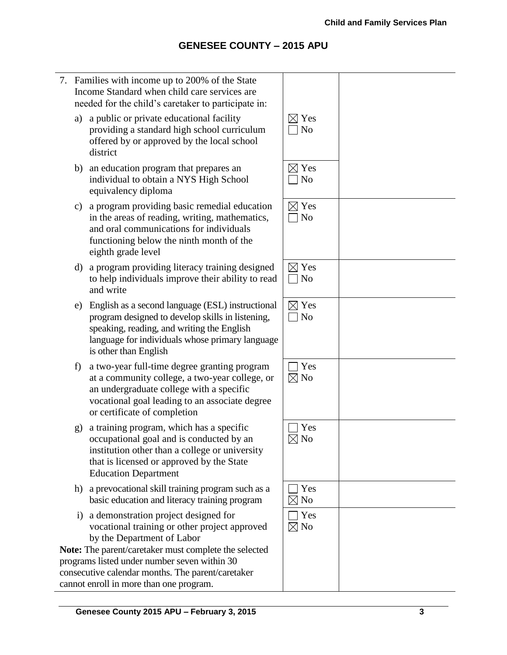7. Families with income up to 200% of the State Income Standard when child care services are needed for the child's caretaker to participate in: a) a public or private educational facility providing a standard high school curriculum offered by or approved by the local school district  $\boxtimes$  Yes  $\Box$  No b) an education program that prepares an individual to obtain a NYS High School equivalency diploma  $\boxtimes$  Yes  $\Box$  No c) a program providing basic remedial education in the areas of reading, writing, mathematics, and oral communications for individuals functioning below the ninth month of the eighth grade level  $\boxtimes$  Yes  $\Box$  No d) a program providing literacy training designed to help individuals improve their ability to read and write  $\boxtimes$  Yes  $\Box$  No e) English as a second language (ESL) instructional program designed to develop skills in listening, speaking, reading, and writing the English language for individuals whose primary language is other than English  $\boxtimes$  Yes  $\Box$  No f) a two-year full-time degree granting program at a community college, a two-year college, or an undergraduate college with a specific vocational goal leading to an associate degree or certificate of completion  $\Box$  Yes  $\boxtimes$  No g) a training program, which has a specific occupational goal and is conducted by an institution other than a college or university that is licensed or approved by the State Education Department  $\Box$  Yes  $\nabla$  No h) a prevocational skill training program such as a basic education and literacy training program  $\Box$  Yes  $\boxtimes$  No i) a demonstration project designed for vocational training or other project approved by the Department of Labor **Note:** The parent/caretaker must complete the selected programs listed under number seven within 30 consecutive calendar months. The parent/caretaker cannot enroll in more than one program.  $\Box$  Yes  $\boxtimes$  No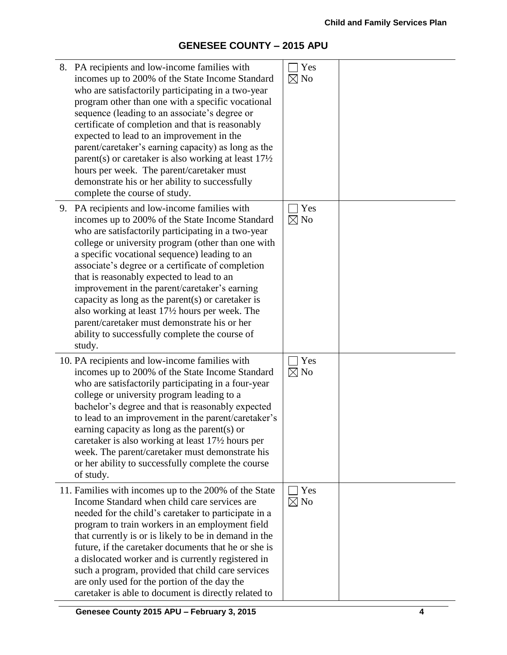| 8. PA recipients and low-income families with<br>incomes up to 200% of the State Income Standard<br>who are satisfactorily participating in a two-year<br>program other than one with a specific vocational<br>sequence (leading to an associate's degree or<br>certificate of completion and that is reasonably<br>expected to lead to an improvement in the<br>parent/caretaker's earning capacity) as long as the<br>parent(s) or caretaker is also working at least $17\frac{1}{2}$<br>hours per week. The parent/caretaker must<br>demonstrate his or her ability to successfully<br>complete the course of study.               | Yes<br>$\boxtimes$ No |  |
|---------------------------------------------------------------------------------------------------------------------------------------------------------------------------------------------------------------------------------------------------------------------------------------------------------------------------------------------------------------------------------------------------------------------------------------------------------------------------------------------------------------------------------------------------------------------------------------------------------------------------------------|-----------------------|--|
| 9. PA recipients and low-income families with<br>incomes up to 200% of the State Income Standard<br>who are satisfactorily participating in a two-year<br>college or university program (other than one with<br>a specific vocational sequence) leading to an<br>associate's degree or a certificate of completion<br>that is reasonably expected to lead to an<br>improvement in the parent/caretaker's earning<br>capacity as long as the parent $(s)$ or caretaker is<br>also working at least 17½ hours per week. The<br>parent/caretaker must demonstrate his or her<br>ability to successfully complete the course of<br>study. | Yes<br>$\boxtimes$ No |  |
| 10. PA recipients and low-income families with<br>incomes up to 200% of the State Income Standard<br>who are satisfactorily participating in a four-year<br>college or university program leading to a<br>bachelor's degree and that is reasonably expected<br>to lead to an improvement in the parent/caretaker's<br>earning capacity as long as the parent(s) or<br>caretaker is also working at least 17 <sup>1</sup> / <sub>2</sub> hours per<br>week. The parent/caretaker must demonstrate his<br>or her ability to successfully complete the course<br>of study.                                                               | Yes<br>$\boxtimes$ No |  |
| 11. Families with incomes up to the 200% of the State<br>Income Standard when child care services are<br>needed for the child's caretaker to participate in a<br>program to train workers in an employment field<br>that currently is or is likely to be in demand in the<br>future, if the caretaker documents that he or she is<br>a dislocated worker and is currently registered in<br>such a program, provided that child care services<br>are only used for the portion of the day the<br>caretaker is able to document is directly related to                                                                                  | Yes<br>$\boxtimes$ No |  |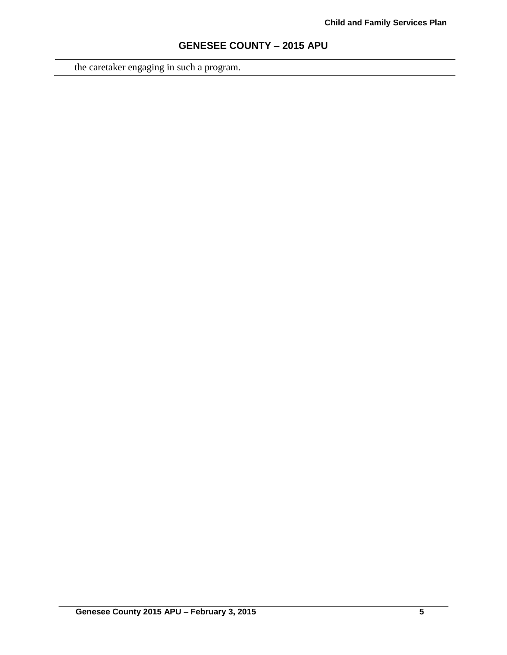|  | the caretaker engaging in such a program. |  |  |
|--|-------------------------------------------|--|--|
|--|-------------------------------------------|--|--|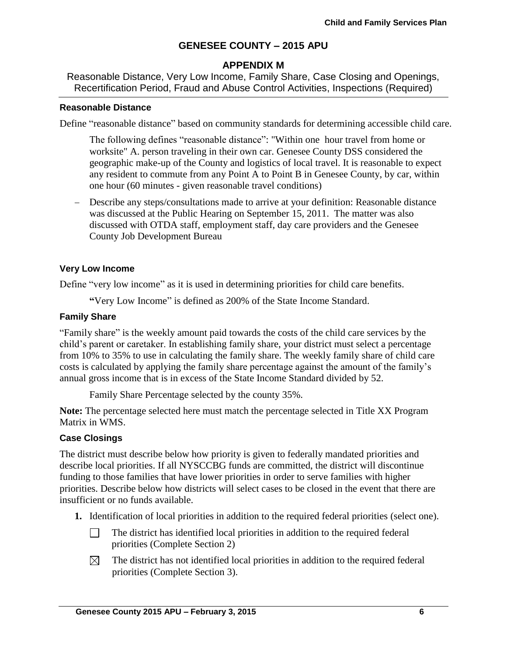## **APPENDIX M**

Reasonable Distance, Very Low Income, Family Share, Case Closing and Openings, Recertification Period, Fraud and Abuse Control Activities, Inspections (Required)

### **Reasonable Distance**

Define "reasonable distance" based on community standards for determining accessible child care.

The following defines "reasonable distance": "Within one hour travel from home or worksite" A. person traveling in their own car. Genesee County DSS considered the geographic make-up of the County and logistics of local travel. It is reasonable to expect any resident to commute from any Point A to Point B in Genesee County, by car, within one hour (60 minutes - given reasonable travel conditions)

 Describe any steps/consultations made to arrive at your definition: Reasonable distance was discussed at the Public Hearing on September 15, 2011. The matter was also discussed with OTDA staff, employment staff, day care providers and the Genesee County Job Development Bureau

### **Very Low Income**

Define "very low income" as it is used in determining priorities for child care benefits.

**"**Very Low Income" is defined as 200% of the State Income Standard.

#### **Family Share**

"Family share" is the weekly amount paid towards the costs of the child care services by the child's parent or caretaker. In establishing family share, your district must select a percentage from 10% to 35% to use in calculating the family share. The weekly family share of child care costs is calculated by applying the family share percentage against the amount of the family's annual gross income that is in excess of the State Income Standard divided by 52.

Family Share Percentage selected by the county 35%.

**Note:** The percentage selected here must match the percentage selected in Title XX Program Matrix in WMS.

### **Case Closings**

The district must describe below how priority is given to federally mandated priorities and describe local priorities. If all NYSCCBG funds are committed, the district will discontinue funding to those families that have lower priorities in order to serve families with higher priorities. Describe below how districts will select cases to be closed in the event that there are insufficient or no funds available.

- **1.** Identification of local priorities in addition to the required federal priorities (select one).
	- $\Box$ The district has identified local priorities in addition to the required federal priorities (Complete Section 2)
	- $\boxtimes$ The district has not identified local priorities in addition to the required federal priorities (Complete Section 3).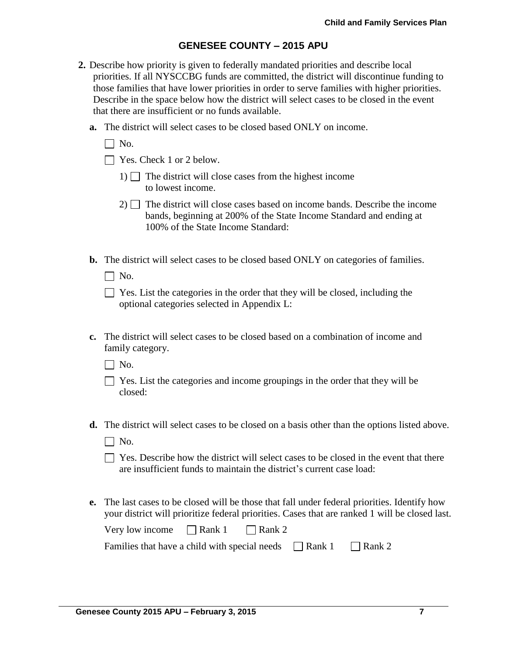- **2.** Describe how priority is given to federally mandated priorities and describe local priorities. If all NYSCCBG funds are committed, the district will discontinue funding to those families that have lower priorities in order to serve families with higher priorities. Describe in the space below how the district will select cases to be closed in the event that there are insufficient or no funds available.
	- **a.** The district will select cases to be closed based ONLY on income.
		- $\Box$  No.
		- $\Box$  Yes. Check 1 or 2 below.
			- 1)  $\Box$  The district will close cases from the highest income to lowest income.
			- $2)$  The district will close cases based on income bands. Describe the income bands, beginning at 200% of the State Income Standard and ending at 100% of the State Income Standard:
	- **b.** The district will select cases to be closed based ONLY on categories of families.
		- $\Box$  No.

| $\Box$ Yes. List the categories in the order that they will be closed, including the |
|--------------------------------------------------------------------------------------|
| optional categories selected in Appendix L:                                          |

**c.** The district will select cases to be closed based on a combination of income and family category.

 $\Box$  No.

- $\Box$  Yes. List the categories and income groupings in the order that they will be closed:
- **d.** The district will select cases to be closed on a basis other than the options listed above.
	- $\Box$  No.
	- $\Box$  Yes. Describe how the district will select cases to be closed in the event that there are insufficient funds to maintain the district's current case load:
- **e.** The last cases to be closed will be those that fall under federal priorities. Identify how your district will prioritize federal priorities. Cases that are ranked 1 will be closed last.

| Very low income | $\Box$ Rank 1 | $\Box$ Rank 2 |
|-----------------|---------------|---------------|
|-----------------|---------------|---------------|

| Families that have a child with special needs | $\Box$ Rank 1 | $\Box$ Rank 2 |
|-----------------------------------------------|---------------|---------------|
|-----------------------------------------------|---------------|---------------|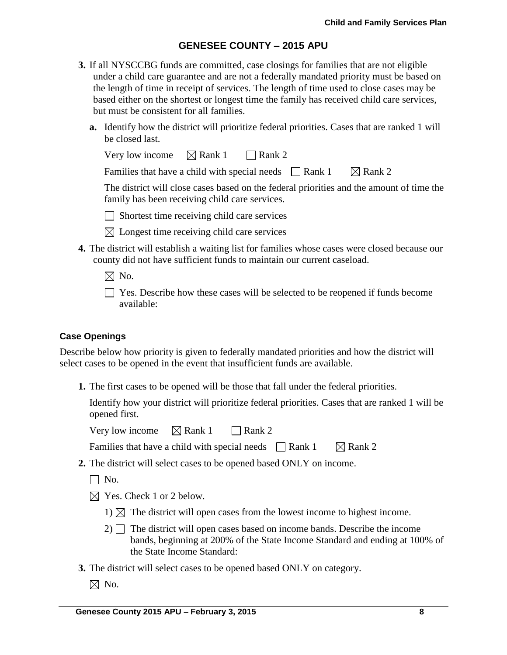- **3.** If all NYSCCBG funds are committed, case closings for families that are not eligible under a child care guarantee and are not a federally mandated priority must be based on the length of time in receipt of services. The length of time used to close cases may be based either on the shortest or longest time the family has received child care services, but must be consistent for all families.
	- **a.** Identify how the district will prioritize federal priorities. Cases that are ranked 1 will be closed last.

| Very low income | $\boxtimes$ Rank 1 | $\Box$ Rank 2 |
|-----------------|--------------------|---------------|
|-----------------|--------------------|---------------|

Families that have a child with special needs  $\Box$  Rank 1  $\Box$  Rank 2

The district will close cases based on the federal priorities and the amount of time the family has been receiving child care services.

 $\Box$  Shortest time receiving child care services

- $\boxtimes$  Longest time receiving child care services
- **4.** The district will establish a waiting list for families whose cases were closed because our county did not have sufficient funds to maintain our current caseload.
	- $\boxtimes$  No.
	- Yes. Describe how these cases will be selected to be reopened if funds become available:

### **Case Openings**

Describe below how priority is given to federally mandated priorities and how the district will select cases to be opened in the event that insufficient funds are available.

**1.** The first cases to be opened will be those that fall under the federal priorities.

Identify how your district will prioritize federal priorities. Cases that are ranked 1 will be opened first.

Very low income  $\boxtimes$  Rank 1 Rank 2

Families that have a child with special needs  $\Box$  Rank 1  $\Box$  Rank 2

- **2.** The district will select cases to be opened based ONLY on income.
	- $\Box$  No.
	- $\boxtimes$  Yes. Check 1 or 2 below.
		- 1)  $\boxtimes$  The district will open cases from the lowest income to highest income.
		- $2)$  The district will open cases based on income bands. Describe the income bands, beginning at 200% of the State Income Standard and ending at 100% of the State Income Standard:
- **3.** The district will select cases to be opened based ONLY on category.
	- $\boxtimes$  No.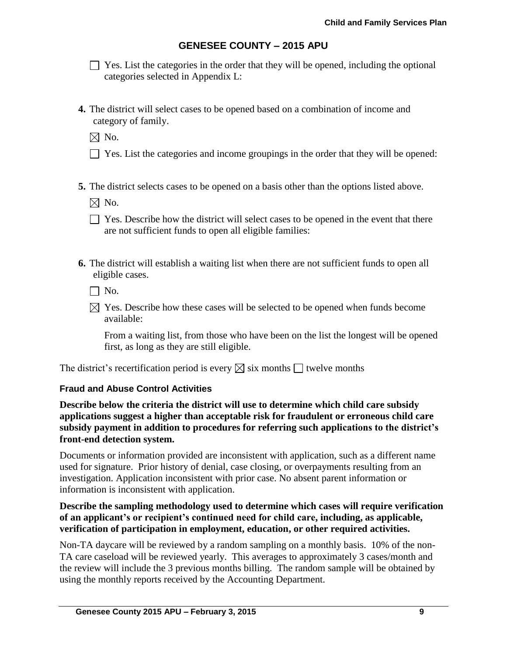$\Box$  Yes. List the categories in the order that they will be opened, including the optional categories selected in Appendix L:

**4.** The district will select cases to be opened based on a combination of income and category of family.

 $\boxtimes$  No.

- $\Box$  Yes. List the categories and income groupings in the order that they will be opened:
- **5.** The district selects cases to be opened on a basis other than the options listed above.

 $\boxtimes$  No.

- $\Box$  Yes. Describe how the district will select cases to be opened in the event that there are not sufficient funds to open all eligible families:
- **6.** The district will establish a waiting list when there are not sufficient funds to open all eligible cases.

 $\Box$  No.

 $\boxtimes$  Yes. Describe how these cases will be selected to be opened when funds become available:

From a waiting list, from those who have been on the list the longest will be opened first, as long as they are still eligible.

The district's recertification period is every  $\boxtimes$  six months  $\Box$  twelve months

### **Fraud and Abuse Control Activities**

**Describe below the criteria the district will use to determine which child care subsidy applications suggest a higher than acceptable risk for fraudulent or erroneous child care subsidy payment in addition to procedures for referring such applications to the district's front-end detection system.**

Documents or information provided are inconsistent with application, such as a different name used for signature. Prior history of denial, case closing, or overpayments resulting from an investigation. Application inconsistent with prior case. No absent parent information or information is inconsistent with application.

### **Describe the sampling methodology used to determine which cases will require verification of an applicant's or recipient's continued need for child care, including, as applicable, verification of participation in employment, education, or other required activities.**

Non-TA daycare will be reviewed by a random sampling on a monthly basis. 10% of the non-TA care caseload will be reviewed yearly. This averages to approximately 3 cases/month and the review will include the 3 previous months billing. The random sample will be obtained by using the monthly reports received by the Accounting Department.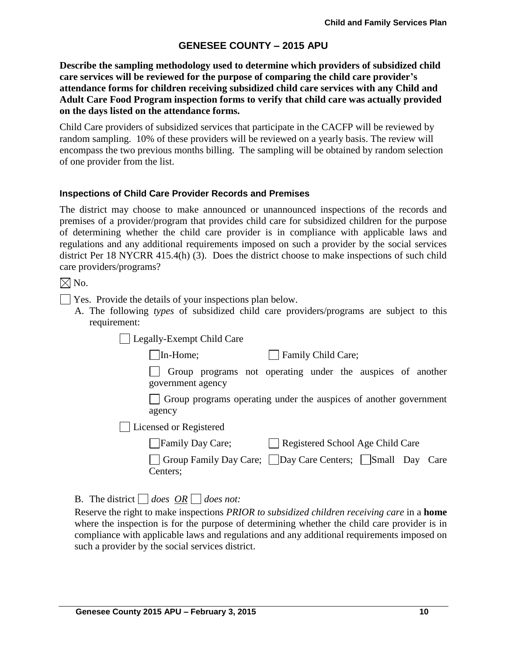**Describe the sampling methodology used to determine which providers of subsidized child care services will be reviewed for the purpose of comparing the child care provider's attendance forms for children receiving subsidized child care services with any Child and Adult Care Food Program inspection forms to verify that child care was actually provided on the days listed on the attendance forms.** 

Child Care providers of subsidized services that participate in the CACFP will be reviewed by random sampling. 10% of these providers will be reviewed on a yearly basis. The review will encompass the two previous months billing. The sampling will be obtained by random selection of one provider from the list.

### **Inspections of Child Care Provider Records and Premises**

The district may choose to make announced or unannounced inspections of the records and premises of a provider/program that provides child care for subsidized children for the purpose of determining whether the child care provider is in compliance with applicable laws and regulations and any additional requirements imposed on such a provider by the social services district Per 18 NYCRR 415.4(h) (3). Does the district choose to make inspections of such child care providers/programs?

 $\boxtimes$  No.

- Yes. Provide the details of your inspections plan below.
	- A. The following *types* of subsidized child care providers/programs are subject to this requirement:

Legally-Exempt Child Care

In-Home; Family Child Care;

Group programs not operating under the auspices of another government agency

Group programs operating under the auspices of another government agency

Licensed or Registered

| Family Day Care; | Registered School Age Child Care |
|------------------|----------------------------------|
|                  |                                  |

Group Family Day Care; Day Care Centers; Small Day Care Centers;

B. The district  $\Box$  does  $\overline{OR} \Box$  does not:

Reserve the right to make inspections *PRIOR to subsidized children receiving care* in a **home** where the inspection is for the purpose of determining whether the child care provider is in compliance with applicable laws and regulations and any additional requirements imposed on such a provider by the social services district.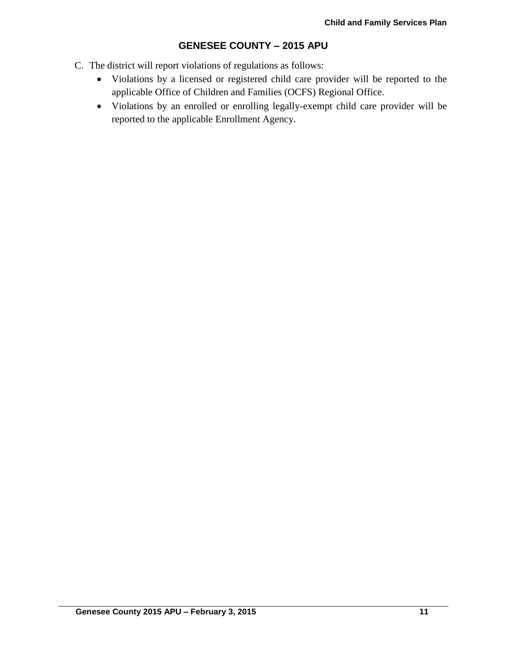- C. The district will report violations of regulations as follows:
	- Violations by a licensed or registered child care provider will be reported to the applicable Office of Children and Families (OCFS) Regional Office.
	- Violations by an enrolled or enrolling legally-exempt child care provider will be reported to the applicable Enrollment Agency.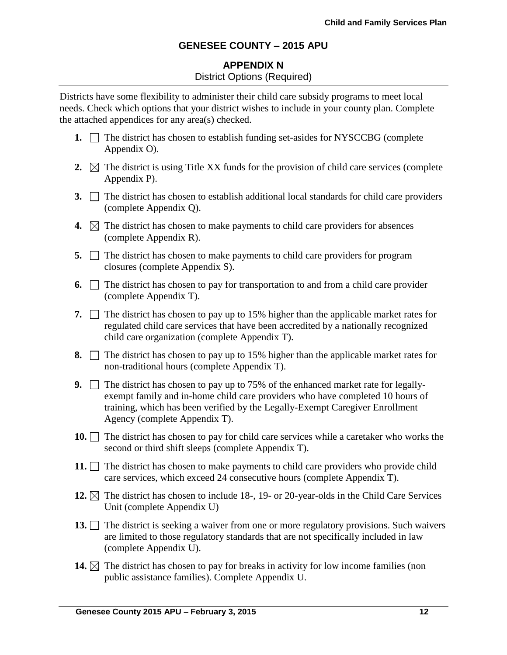## **APPENDIX N** District Options (Required)

Districts have some flexibility to administer their child care subsidy programs to meet local needs. Check which options that your district wishes to include in your county plan. Complete the attached appendices for any area(s) checked.

- **1.**  $\Box$  The district has chosen to establish funding set-asides for NYSCCBG (complete Appendix O).
- **2.**  $\boxtimes$  The district is using Title XX funds for the provision of child care services (complete Appendix P).
- **3.** The district has chosen to establish additional local standards for child care providers (complete Appendix Q).
- **4.**  $\boxtimes$  The district has chosen to make payments to child care providers for absences (complete Appendix R).
- **5.**  $\Box$  The district has chosen to make payments to child care providers for program closures (complete Appendix S).
- **6.**  $\Box$  The district has chosen to pay for transportation to and from a child care provider (complete Appendix T).
- **7.**  $\Box$  The district has chosen to pay up to 15% higher than the applicable market rates for regulated child care services that have been accredited by a nationally recognized child care organization (complete Appendix T).
- **8.**  $\Box$  The district has chosen to pay up to 15% higher than the applicable market rates for non-traditional hours (complete Appendix T).
- **9.** The district has chosen to pay up to 75% of the enhanced market rate for legallyexempt family and in-home child care providers who have completed 10 hours of training, which has been verified by the Legally-Exempt Caregiver Enrollment Agency (complete Appendix T).
- **10.** The district has chosen to pay for child care services while a caretaker who works the second or third shift sleeps (complete Appendix T).
- **11.**  $\Box$  The district has chosen to make payments to child care providers who provide child care services, which exceed 24 consecutive hours (complete Appendix T).
- **12.**  $\boxtimes$  The district has chosen to include 18-, 19- or 20-year-olds in the Child Care Services Unit (complete Appendix U)
- 13. The district is seeking a waiver from one or more regulatory provisions. Such waivers are limited to those regulatory standards that are not specifically included in law (complete Appendix U).
- **14.**  $\boxtimes$  The district has chosen to pay for breaks in activity for low income families (non public assistance families). Complete Appendix U.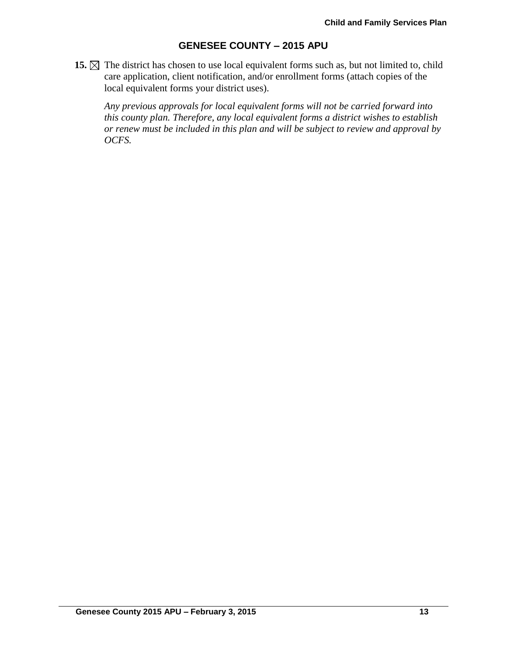**15.**  $\boxtimes$  The district has chosen to use local equivalent forms such as, but not limited to, child care application, client notification, and/or enrollment forms (attach copies of the local equivalent forms your district uses).

*Any previous approvals for local equivalent forms will not be carried forward into this county plan. Therefore, any local equivalent forms a district wishes to establish or renew must be included in this plan and will be subject to review and approval by OCFS.*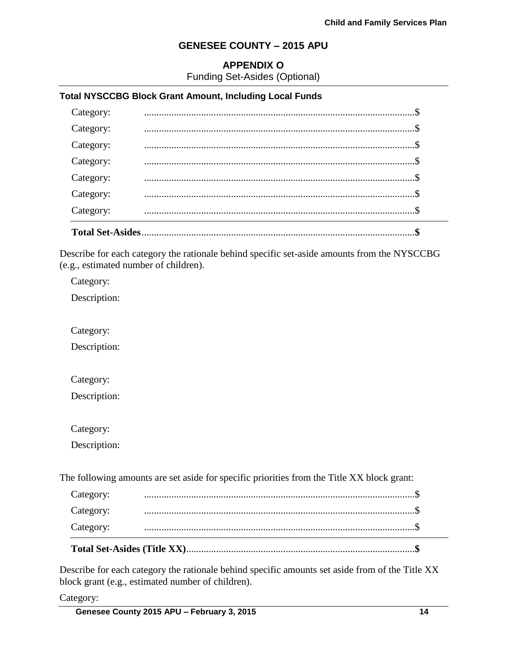## **APPENDIX O**

Funding Set-Asides (Optional)

#### **Total NYSCCBG Block Grant Amount, Including Local Funds**

| Category:               |  |
|-------------------------|--|
| Category:               |  |
| Category:               |  |
| Category:               |  |
| Category:               |  |
| Category:               |  |
| Category:               |  |
| <b>Total Set-Asides</b> |  |

Describe for each category the rationale behind specific set-aside amounts from the NYSCCBG (e.g., estimated number of children).

Category:

Description:

Category:

Description:

Category:

Description:

Category:

Description:

The following amounts are set aside for specific priorities from the Title XX block grant:

| Category: |  |
|-----------|--|
| Category: |  |
| Category: |  |

Describe for each category the rationale behind specific amounts set aside from of the Title XX block grant (e.g., estimated number of children).

Category: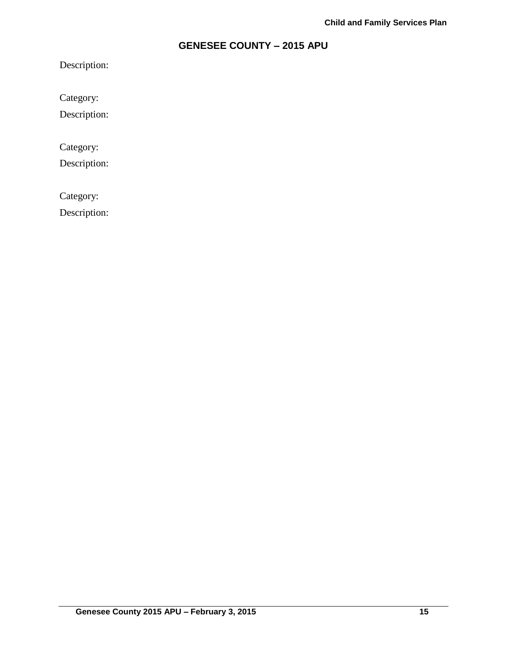Description:

Category:

Description:

Category:

Description:

Category:

Description: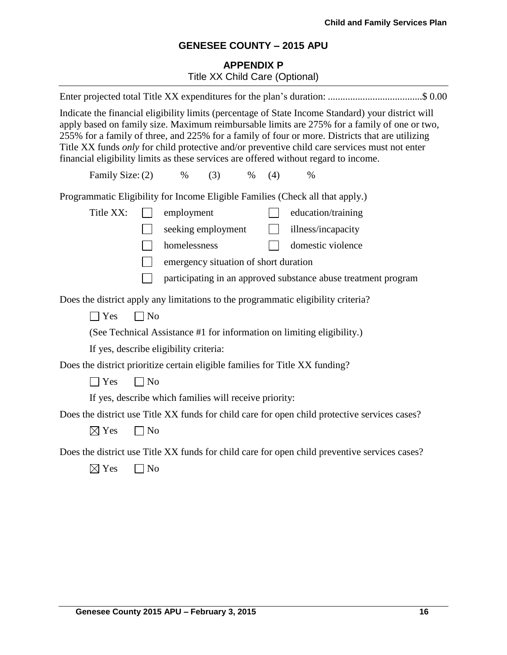# **APPENDIX P** Title XX Child Care (Optional)

| Enter projected total Title XX expenditures for the plan's duration: \$ 0.00                                                                                                                                                                                                                                                                                                                                                                                                                   |  |
|------------------------------------------------------------------------------------------------------------------------------------------------------------------------------------------------------------------------------------------------------------------------------------------------------------------------------------------------------------------------------------------------------------------------------------------------------------------------------------------------|--|
| Indicate the financial eligibility limits (percentage of State Income Standard) your district will<br>apply based on family size. Maximum reimbursable limits are 275% for a family of one or two,<br>255% for a family of three, and 225% for a family of four or more. Districts that are utilizing<br>Title XX funds only for child protective and/or preventive child care services must not enter<br>financial eligibility limits as these services are offered without regard to income. |  |
| Family Size: (2)<br>(3)<br>(4)<br>$\%$<br>$\%$<br>$\%$                                                                                                                                                                                                                                                                                                                                                                                                                                         |  |
| Programmatic Eligibility for Income Eligible Families (Check all that apply.)                                                                                                                                                                                                                                                                                                                                                                                                                  |  |
| Title XX:<br>employment<br>education/training                                                                                                                                                                                                                                                                                                                                                                                                                                                  |  |
| seeking employment<br>illness/incapacity                                                                                                                                                                                                                                                                                                                                                                                                                                                       |  |
| homelessness<br>domestic violence                                                                                                                                                                                                                                                                                                                                                                                                                                                              |  |
| emergency situation of short duration                                                                                                                                                                                                                                                                                                                                                                                                                                                          |  |
| participating in an approved substance abuse treatment program                                                                                                                                                                                                                                                                                                                                                                                                                                 |  |
| Does the district apply any limitations to the programmatic eligibility criteria?                                                                                                                                                                                                                                                                                                                                                                                                              |  |
| $\Box$ No<br>$\exists$ Yes                                                                                                                                                                                                                                                                                                                                                                                                                                                                     |  |
| (See Technical Assistance #1 for information on limiting eligibility.)                                                                                                                                                                                                                                                                                                                                                                                                                         |  |
| If yes, describe eligibility criteria:                                                                                                                                                                                                                                                                                                                                                                                                                                                         |  |
| Does the district prioritize certain eligible families for Title XX funding?                                                                                                                                                                                                                                                                                                                                                                                                                   |  |
| $\exists$ Yes<br>$\neg$ No                                                                                                                                                                                                                                                                                                                                                                                                                                                                     |  |
| If yes, describe which families will receive priority:                                                                                                                                                                                                                                                                                                                                                                                                                                         |  |
| Does the district use Title XX funds for child care for open child protective services cases?                                                                                                                                                                                                                                                                                                                                                                                                  |  |
| $\boxtimes$ Yes<br>$\Box$ No                                                                                                                                                                                                                                                                                                                                                                                                                                                                   |  |
| Does the district use Title XX funds for child care for open child preventive services cases?<br>$\boxtimes$ Yes<br>$\Box$ No                                                                                                                                                                                                                                                                                                                                                                  |  |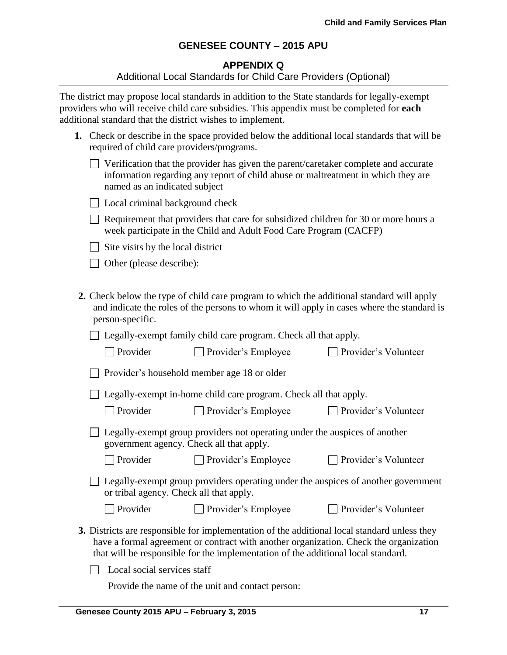### **APPENDIX Q**

#### Additional Local Standards for Child Care Providers (Optional)

The district may propose local standards in addition to the State standards for legally-exempt providers who will receive child care subsidies. This appendix must be completed for **each** additional standard that the district wishes to implement.

| 1. Check or describe in the space provided below the additional local standards that will be |
|----------------------------------------------------------------------------------------------|
| required of child care providers/programs.                                                   |

| $\Box$ Verification that the provider has given the parent/caretaker complete and accurate |
|--------------------------------------------------------------------------------------------|
| information regarding any report of child abuse or maltreatment in which they are          |
| named as an indicated subject                                                              |

| □ Local criminal background check |  |  |  |  |  |
|-----------------------------------|--|--|--|--|--|
|-----------------------------------|--|--|--|--|--|

 $\Box$  Requirement that providers that care for subsidized children for 30 or more hours a week participate in the Child and Adult Food Care Program (CACFP)

 $\Box$  Site visits by the local district

□ Other (please describe):

**2.** Check below the type of child care program to which the additional standard will apply and indicate the roles of the persons to whom it will apply in cases where the standard is person-specific.

Legally-exempt family child care program. Check all that apply.

| $\Box$ Provider | $\Box$ Provider's Employee | □ Provider's Volunteer |
|-----------------|----------------------------|------------------------|
|-----------------|----------------------------|------------------------|

|  |  |  | $\Box$ Provider's household member age 18 or older |  |  |  |  |
|--|--|--|----------------------------------------------------|--|--|--|--|
|--|--|--|----------------------------------------------------|--|--|--|--|

 $\Box$  Legally-exempt in-home child care program. Check all that apply.

| $\Box$ Provider | $\Box$ Provider's Emple |
|-----------------|-------------------------|
|-----------------|-------------------------|

 $\Box$  Provider's Volunteer

 $\Box$  Provider's Volunteer

| Legally-exempt group providers not operating under the auspices of another |  |
|----------------------------------------------------------------------------|--|
| government agency. Check all that apply.                                   |  |

□ Provider Provider's Employee Provider's Volunteer

Legally-exempt group providers operating under the auspices of another government or tribal agency. Check all that apply.

| $\Box$ Provider | $\Box$ Provider's Employee |
|-----------------|----------------------------|
|                 |                            |

**3.** Districts are responsible for implementation of the additional local standard unless they have a formal agreement or contract with another organization. Check the organization

that will be responsible for the implementation of the additional local standard.

 $\Box$  Local social services staff

Provide the name of the unit and contact person: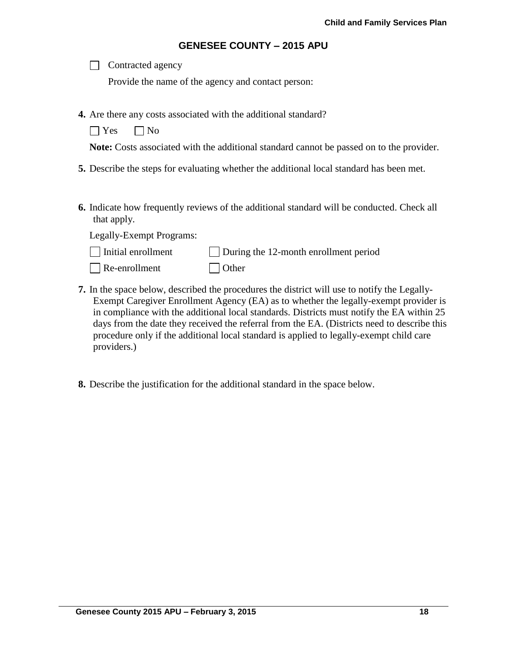| Contracted agency |  |
|-------------------|--|
|-------------------|--|

Provide the name of the agency and contact person:

- **4.** Are there any costs associated with the additional standard?
	- $\bigcap$  Yes  $\bigcap$  No

**Note:** Costs associated with the additional standard cannot be passed on to the provider.

- **5.** Describe the steps for evaluating whether the additional local standard has been met.
- **6.** Indicate how frequently reviews of the additional standard will be conducted. Check all that apply.

Legally-Exempt Programs:

| $\Box$ Initial enrollment | $\Box$ During the 12-month enrollment period |  |
|---------------------------|----------------------------------------------|--|
|---------------------------|----------------------------------------------|--|

- Re-enrollment Other
- **7.** In the space below, described the procedures the district will use to notify the Legally-Exempt Caregiver Enrollment Agency (EA) as to whether the legally-exempt provider is in compliance with the additional local standards. Districts must notify the EA within 25 days from the date they received the referral from the EA. (Districts need to describe this procedure only if the additional local standard is applied to legally-exempt child care providers.)
- **8.** Describe the justification for the additional standard in the space below.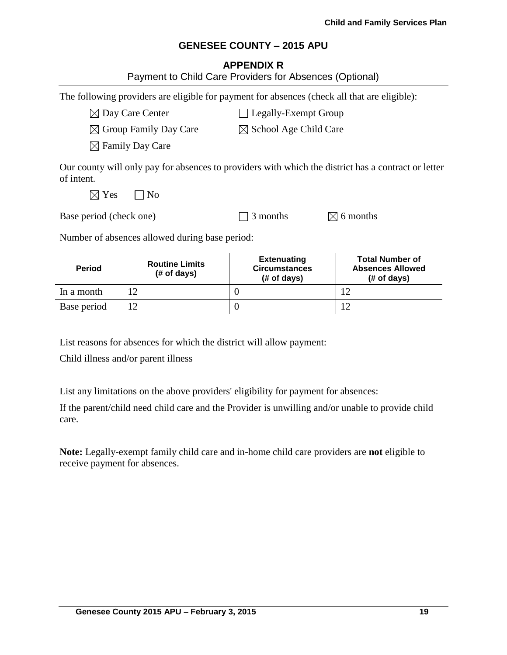### **APPENDIX R**

| <b>Period</b>                                           | <b>Routine Limits</b><br>(# of days)                                                         | <b>Extenuating</b><br><b>Circumstances</b><br>(# of days) | <b>Total Number of</b><br><b>Absences Allowed</b><br>(# of days)                                    |  |  |
|---------------------------------------------------------|----------------------------------------------------------------------------------------------|-----------------------------------------------------------|-----------------------------------------------------------------------------------------------------|--|--|
|                                                         | Number of absences allowed during base period:                                               |                                                           |                                                                                                     |  |  |
| Base period (check one)                                 |                                                                                              | 3 months                                                  | $\boxtimes$ 6 months                                                                                |  |  |
| $\boxtimes$ Yes                                         | N <sub>0</sub>                                                                               |                                                           |                                                                                                     |  |  |
| of intent.                                              |                                                                                              |                                                           | Our county will only pay for absences to providers with which the district has a contract or letter |  |  |
|                                                         | $\boxtimes$ Family Day Care                                                                  |                                                           |                                                                                                     |  |  |
| $\boxtimes$ Group Family Day Care                       |                                                                                              | $\boxtimes$ School Age Child Care                         |                                                                                                     |  |  |
|                                                         | $\boxtimes$ Day Care Center                                                                  | Legally-Exempt Group                                      |                                                                                                     |  |  |
|                                                         | The following providers are eligible for payment for absences (check all that are eligible): |                                                           |                                                                                                     |  |  |
| Payment to Child Care Providers for Absences (Optional) |                                                                                              |                                                           |                                                                                                     |  |  |

List reasons for absences for which the district will allow payment:

In a month  $12$  0 12 Base period  $12$  0 12

Child illness and/or parent illness

List any limitations on the above providers' eligibility for payment for absences:

If the parent/child need child care and the Provider is unwilling and/or unable to provide child care.

**Note:** Legally-exempt family child care and in-home child care providers are **not** eligible to receive payment for absences.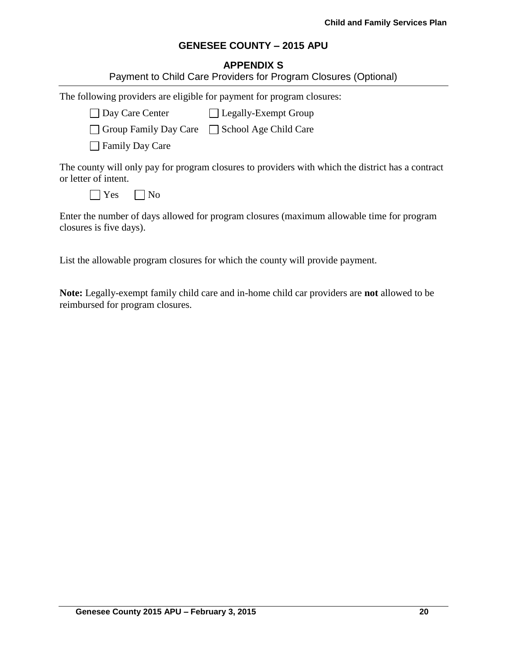# **APPENDIX S**

|                                                                        | Payment to Child Care Providers for Program Closures (Optional)                                   |
|------------------------------------------------------------------------|---------------------------------------------------------------------------------------------------|
| The following providers are eligible for payment for program closures: |                                                                                                   |
| Day Care Center Legally-Exempt Group                                   |                                                                                                   |
| □ Group Family Day Care □ School Age Child Care                        |                                                                                                   |
| <b>Family Day Care</b>                                                 |                                                                                                   |
| or letter of intent.                                                   | The county will only pay for program closures to providers with which the district has a contract |
| $\vert$ Yes<br>  No                                                    |                                                                                                   |
| closures is five days).                                                | Enter the number of days allowed for program closures (maximum allowable time for program         |

List the allowable program closures for which the county will provide payment.

**Note:** Legally-exempt family child care and in-home child car providers are **not** allowed to be reimbursed for program closures.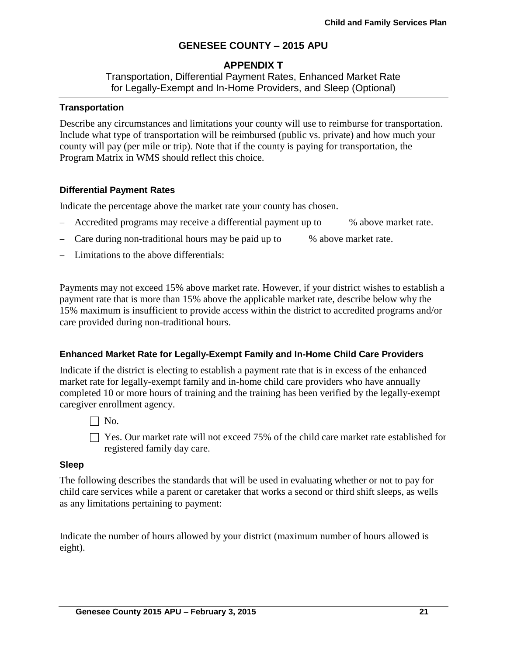## **APPENDIX T**

Transportation, Differential Payment Rates, Enhanced Market Rate for Legally-Exempt and In-Home Providers, and Sleep (Optional)

### **Transportation**

Describe any circumstances and limitations your county will use to reimburse for transportation. Include what type of transportation will be reimbursed (public vs. private) and how much your county will pay (per mile or trip). Note that if the county is paying for transportation, the Program Matrix in WMS should reflect this choice.

## **Differential Payment Rates**

Indicate the percentage above the market rate your county has chosen.

- Accredited programs may receive a differential payment up to % above market rate.
- Care during non-traditional hours may be paid up to % above market rate.
- Limitations to the above differentials:

Payments may not exceed 15% above market rate. However, if your district wishes to establish a payment rate that is more than 15% above the applicable market rate, describe below why the 15% maximum is insufficient to provide access within the district to accredited programs and/or care provided during non-traditional hours.

### **Enhanced Market Rate for Legally-Exempt Family and In-Home Child Care Providers**

Indicate if the district is electing to establish a payment rate that is in excess of the enhanced market rate for legally-exempt family and in-home child care providers who have annually completed 10 or more hours of training and the training has been verified by the legally-exempt caregiver enrollment agency.

 $\Box$  No.

□ Yes. Our market rate will not exceed 75% of the child care market rate established for registered family day care.

### **Sleep**

The following describes the standards that will be used in evaluating whether or not to pay for child care services while a parent or caretaker that works a second or third shift sleeps, as wells as any limitations pertaining to payment:

Indicate the number of hours allowed by your district (maximum number of hours allowed is eight).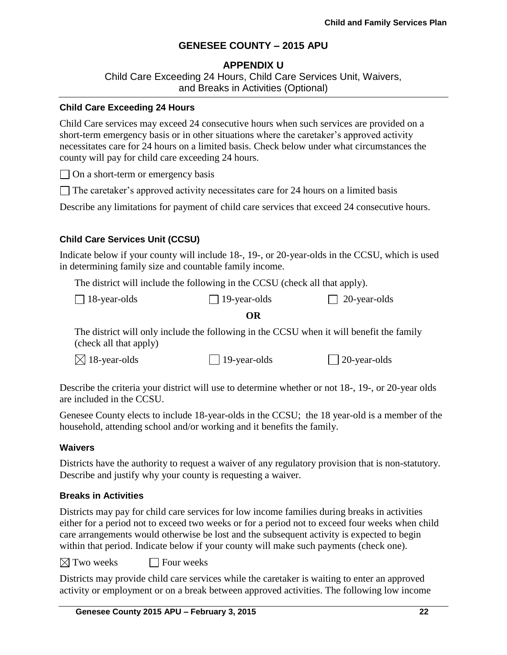## **APPENDIX U**

Child Care Exceeding 24 Hours, Child Care Services Unit, Waivers, and Breaks in Activities (Optional)

#### **Child Care Exceeding 24 Hours**

Child Care services may exceed 24 consecutive hours when such services are provided on a short-term emergency basis or in other situations where the caretaker's approved activity necessitates care for 24 hours on a limited basis. Check below under what circumstances the county will pay for child care exceeding 24 hours.

 $\Box$  On a short-term or emergency basis

 $\Box$  The caretaker's approved activity necessitates care for 24 hours on a limited basis

Describe any limitations for payment of child care services that exceed 24 consecutive hours.

## **Child Care Services Unit (CCSU)**

Indicate below if your county will include 18-, 19-, or 20-year-olds in the CCSU, which is used in determining family size and countable family income.

The district will include the following in the CCSU (check all that apply).

| $\Box$ 18-year-olds | $\Box$ 19-year-olds | $\Box$ 20-year-olds |
|---------------------|---------------------|---------------------|
|---------------------|---------------------|---------------------|

### **OR**

The district will only include the following in the CCSU when it will benefit the family (check all that apply)

 $\boxtimes$  18-year-olds 19-year-olds 20-year-olds

Describe the criteria your district will use to determine whether or not 18-, 19-, or 20-year olds are included in the CCSU.

Genesee County elects to include 18-year-olds in the CCSU; the 18 year-old is a member of the household, attending school and/or working and it benefits the family.

### **Waivers**

Districts have the authority to request a waiver of any regulatory provision that is non-statutory. Describe and justify why your county is requesting a waiver.

### **Breaks in Activities**

Districts may pay for child care services for low income families during breaks in activities either for a period not to exceed two weeks or for a period not to exceed four weeks when child care arrangements would otherwise be lost and the subsequent activity is expected to begin within that period. Indicate below if your county will make such payments (check one).

 $\boxtimes$  Two weeks  $\Box$  Four weeks

Districts may provide child care services while the caretaker is waiting to enter an approved activity or employment or on a break between approved activities. The following low income